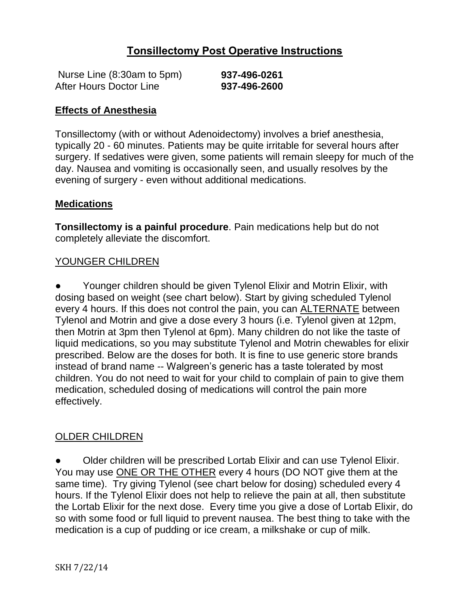## **Tonsillectomy Post Operative Instructions**

| Nurse Line (8:30am to 5pm) | 937-496-0261 |
|----------------------------|--------------|
| After Hours Doctor Line    | 937-496-2600 |

#### **Effects of Anesthesia**

Tonsillectomy (with or without Adenoidectomy) involves a brief anesthesia, typically 20 - 60 minutes. Patients may be quite irritable for several hours after surgery. If sedatives were given, some patients will remain sleepy for much of the day. Nausea and vomiting is occasionally seen, and usually resolves by the evening of surgery - even without additional medications.

#### **Medications**

**Tonsillectomy is a painful procedure**. Pain medications help but do not completely alleviate the discomfort.

### YOUNGER CHILDREN

Younger children should be given Tylenol Elixir and Motrin Elixir, with dosing based on weight (see chart below). Start by giving scheduled Tylenol every 4 hours. If this does not control the pain, you can ALTERNATE between Tylenol and Motrin and give a dose every 3 hours (i.e. Tylenol given at 12pm, then Motrin at 3pm then Tylenol at 6pm). Many children do not like the taste of liquid medications, so you may substitute Tylenol and Motrin chewables for elixir prescribed. Below are the doses for both. It is fine to use generic store brands instead of brand name -- Walgreen's generic has a taste tolerated by most children. You do not need to wait for your child to complain of pain to give them medication, scheduled dosing of medications will control the pain more effectively.

### OLDER CHILDREN

Older children will be prescribed Lortab Elixir and can use Tylenol Elixir. You may use ONE OR THE OTHER every 4 hours (DO NOT give them at the same time). Try giving Tylenol (see chart below for dosing) scheduled every 4 hours. If the Tylenol Elixir does not help to relieve the pain at all, then substitute the Lortab Elixir for the next dose. Every time you give a dose of Lortab Elixir, do so with some food or full liquid to prevent nausea. The best thing to take with the medication is a cup of pudding or ice cream, a milkshake or cup of milk.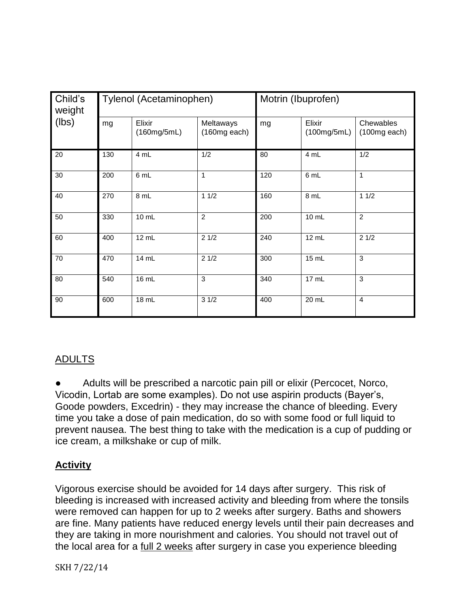| Child's<br>weight<br>(lbs) | Tylenol (Acetaminophen) |                       |                             | Motrin (Ibuprofen) |                       |                             |
|----------------------------|-------------------------|-----------------------|-----------------------------|--------------------|-----------------------|-----------------------------|
|                            | mg                      | Elixir<br>(160mg/5mL) | Meltaways<br>$(160mg$ each) | mg                 | Elixir<br>(100mg/5mL) | Chewables<br>$(100mg$ each) |
| 20                         | 130                     | 4 mL                  | 1/2                         | 80                 | 4 mL                  | 1/2                         |
| 30                         | 200                     | 6 mL                  | 1                           | 120                | 6 mL                  | $\mathbf{1}$                |
| 40                         | 270                     | 8 mL                  | 11/2                        | 160                | $\overline{8}$ mL     | 11/2                        |
| 50                         | 330                     | 10 mL                 | $\overline{2}$              | 200                | 10 mL                 | $\overline{2}$              |
| 60                         | 400                     | 12 mL                 | 21/2                        | 240                | 12 mL                 | 21/2                        |
| 70                         | 470                     | 14 mL                 | 21/2                        | 300                | 15 mL                 | 3                           |
| 80                         | 540                     | 16 mL                 | 3                           | 340                | 17 mL                 | 3                           |
| 90                         | 600                     | 18 mL                 | 31/2                        | 400                | 20 mL                 | $\overline{4}$              |

# ADULTS

Adults will be prescribed a narcotic pain pill or elixir (Percocet, Norco, Vicodin, Lortab are some examples). Do not use aspirin products (Bayer's, Goode powders, Excedrin) - they may increase the chance of bleeding. Every time you take a dose of pain medication, do so with some food or full liquid to prevent nausea. The best thing to take with the medication is a cup of pudding or ice cream, a milkshake or cup of milk.

## **Activity**

Vigorous exercise should be avoided for 14 days after surgery. This risk of bleeding is increased with increased activity and bleeding from where the tonsils were removed can happen for up to 2 weeks after surgery. Baths and showers are fine. Many patients have reduced energy levels until their pain decreases and they are taking in more nourishment and calories. You should not travel out of the local area for a full 2 weeks after surgery in case you experience bleeding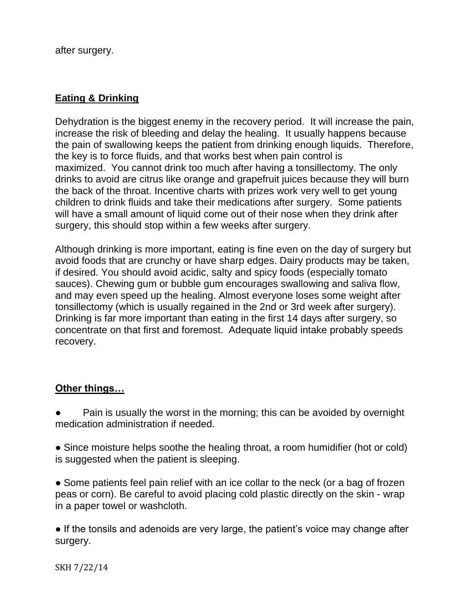after surgery.

### **Eating & Drinking**

Dehydration is the biggest enemy in the recovery period. It will increase the pain, increase the risk of bleeding and delay the healing. It usually happens because the pain of swallowing keeps the patient from drinking enough liquids. Therefore, the key is to force fluids, and that works best when pain control is maximized. You cannot drink too much after having a tonsillectomy. The only drinks to avoid are citrus like orange and grapefruit juices because they will burn the back of the throat. Incentive charts with prizes work very well to get young children to drink fluids and take their medications after surgery. Some patients will have a small amount of liquid come out of their nose when they drink after surgery, this should stop within a few weeks after surgery.

Although drinking is more important, eating is fine even on the day of surgery but avoid foods that are crunchy or have sharp edges. Dairy products may be taken, if desired. You should avoid acidic, salty and spicy foods (especially tomato sauces). Chewing gum or bubble gum encourages swallowing and saliva flow, and may even speed up the healing. Almost everyone loses some weight after tonsillectomy (which is usually regained in the 2nd or 3rd week after surgery). Drinking is far more important than eating in the first 14 days after surgery, so concentrate on that first and foremost. Adequate liquid intake probably speeds recovery.

### **Other things…**

Pain is usually the worst in the morning; this can be avoided by overnight medication administration if needed.

- Since moisture helps soothe the healing throat, a room humidifier (hot or cold) is suggested when the patient is sleeping.
- Some patients feel pain relief with an ice collar to the neck (or a bag of frozen peas or corn). Be careful to avoid placing cold plastic directly on the skin - wrap in a paper towel or washcloth.

● If the tonsils and adenoids are very large, the patient's voice may change after surgery.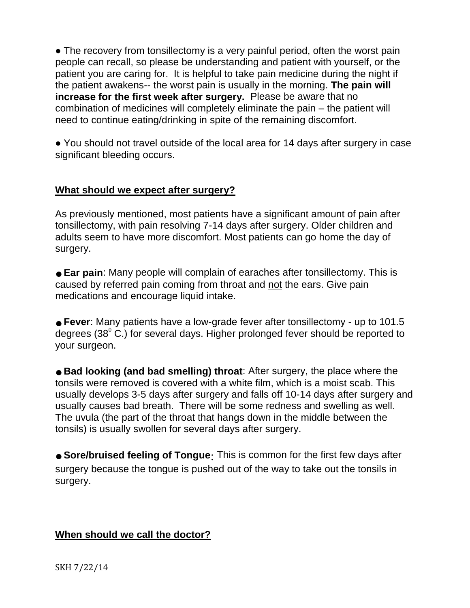• The recovery from tonsillectomy is a very painful period, often the worst pain people can recall, so please be understanding and patient with yourself, or the patient you are caring for. It is helpful to take pain medicine during the night if the patient awakens-- the worst pain is usually in the morning. **The pain will increase for the first week after surgery.** Please be aware that no combination of medicines will completely eliminate the pain – the patient will need to continue eating/drinking in spite of the remaining discomfort.

● You should not travel outside of the local area for 14 days after surgery in case significant bleeding occurs.

### **What should we expect after surgery?**

As previously mentioned, most patients have a significant amount of pain after tonsillectomy, with pain resolving 7-14 days after surgery. Older children and adults seem to have more discomfort. Most patients can go home the day of surgery.

■ **Ear pain**: Many people will complain of earaches after tonsillectomy. This is caused by referred pain coming from throat and not the ears. Give pain medications and encourage liquid intake.

■ **Fever**: Many patients have a low-grade fever after tonsillectomy - up to 101.5 degrees (38 $^{\circ}$  C.) for several days. Higher prolonged fever should be reported to your surgeon.

**●** Bad looking (and bad smelling) throat: After surgery, the place where the tonsils were removed is covered with a white film, which is a moist scab. This usually develops 3-5 days after surgery and falls off 10-14 days after surgery and usually causes bad breath. There will be some redness and swelling as well. The uvula (the part of the throat that hangs down in the middle between the tonsils) is usually swollen for several days after surgery.

**• Sore/bruised feeling of Tongue**: This is common for the first few days after surgery because the tongue is pushed out of the way to take out the tonsils in surgery.

### **When should we call the doctor?**